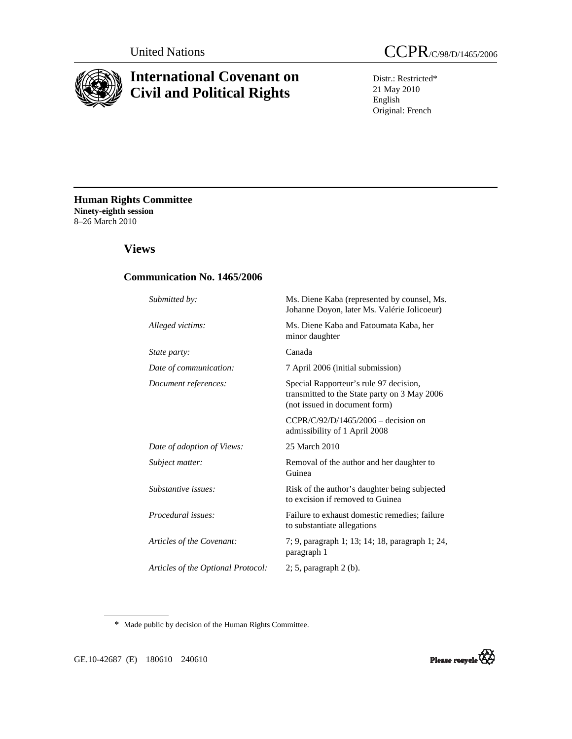

# **International Covenant on Civil and Political Rights**

Distr.: Restricted\* 21 May 2010 English Original: French

**Human Rights Committee Ninety-eighth session**  8–26 March 2010

# **Views**

## **Communication No. 1465/2006**

| Submitted by:                      | Ms. Diene Kaba (represented by counsel, Ms.<br>Johanne Doyon, later Ms. Valérie Jolicoeur)                              |
|------------------------------------|-------------------------------------------------------------------------------------------------------------------------|
| Alleged victims:                   | Ms. Diene Kaba and Fatoumata Kaba, her<br>minor daughter                                                                |
| State party:                       | Canada                                                                                                                  |
| Date of communication:             | 7 April 2006 (initial submission)                                                                                       |
| Document references:               | Special Rapporteur's rule 97 decision,<br>transmitted to the State party on 3 May 2006<br>(not issued in document form) |
|                                    | CCPR/C/92/D/1465/2006 - decision on<br>admissibility of 1 April 2008                                                    |
| Date of adoption of Views:         | 25 March 2010                                                                                                           |
| Subject matter:                    | Removal of the author and her daughter to<br>Guinea                                                                     |
| Substantive issues:                | Risk of the author's daughter being subjected<br>to excision if removed to Guinea                                       |
| Procedural issues:                 | Failure to exhaust domestic remedies; failure<br>to substantiate allegations                                            |
| Articles of the Covenant:          | 7; 9, paragraph 1; 13; 14; 18, paragraph 1; 24,<br>paragraph 1                                                          |
| Articles of the Optional Protocol: | $2; 5$ , paragraph $2$ (b).                                                                                             |

\* Made public by decision of the Human Rights Committee.

GE.10-42687 (E) 180610 240610

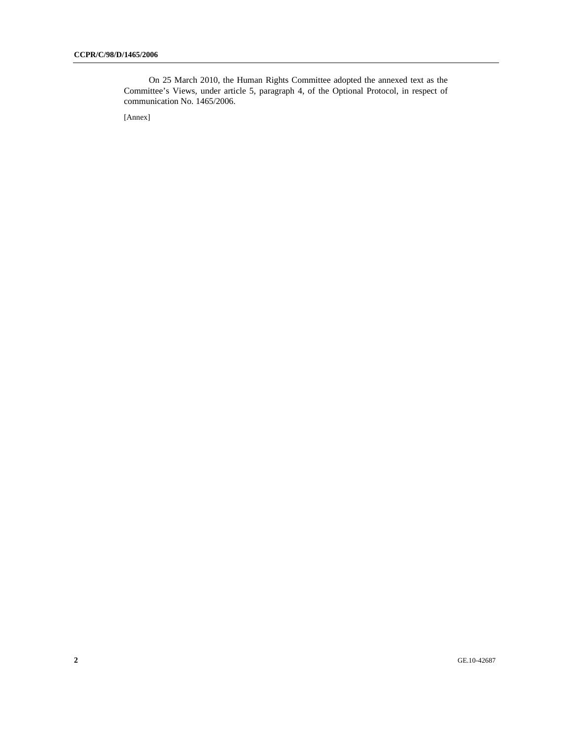On 25 March 2010, the Human Rights Committee adopted the annexed text as the Committee's Views, under article 5, paragraph 4, of the Optional Protocol, in respect of communication No. 1465/2006.

[Annex]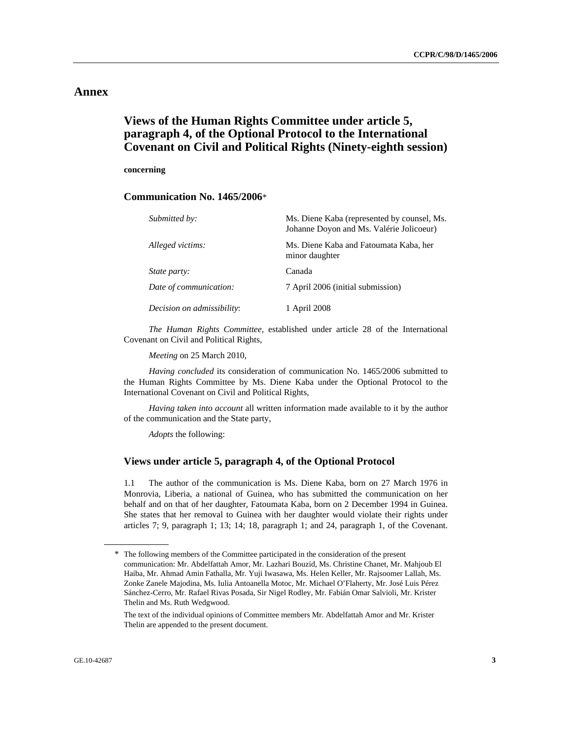# **Annex**

# **Views of the Human Rights Committee under article 5, paragraph 4, of the Optional Protocol to the International Covenant on Civil and Political Rights (Ninety-eighth session)**

#### **concerning**

#### **Communication No. 1465/2006**\*

| Submitted by:              | Ms. Diene Kaba (represented by counsel, Ms.<br>Johanne Doyon and Ms. Valérie Jolicoeur) |
|----------------------------|-----------------------------------------------------------------------------------------|
| Alleged victims:           | Ms. Diene Kaba and Fatoumata Kaba, her<br>minor daughter                                |
| <i>State party:</i>        | Canada                                                                                  |
| Date of communication:     | 7 April 2006 (initial submission)                                                       |
| Decision on admissibility: | 1 April 2008                                                                            |

 *The Human Rights Committee*, established under article 28 of the International Covenant on Civil and Political Rights,

 *Meeting* on 25 March 2010,

 *Having concluded* its consideration of communication No. 1465/2006 submitted to the Human Rights Committee by Ms. Diene Kaba under the Optional Protocol to the International Covenant on Civil and Political Rights,

 *Having taken into account* all written information made available to it by the author of the communication and the State party,

 *Adopts* the following:

### **Views under article 5, paragraph 4, of the Optional Protocol**

1.1 The author of the communication is Ms. Diene Kaba, born on 27 March 1976 in Monrovia, Liberia, a national of Guinea, who has submitted the communication on her behalf and on that of her daughter, Fatoumata Kaba, born on 2 December 1994 in Guinea. She states that her removal to Guinea with her daughter would violate their rights under articles 7; 9, paragraph 1; 13; 14; 18, paragraph 1; and 24, paragraph 1, of the Covenant.

<sup>\*</sup> The following members of the Committee participated in the consideration of the present communication: Mr. Abdelfattah Amor, Mr. Lazhari Bouzid, Ms. Christine Chanet, Mr. Mahjoub El Haiba, Mr. Ahmad Amin Fathalla, Mr. Yuji Iwasawa, Ms. Helen Keller, Mr. Rajsoomer Lallah, Ms. Zonke Zanele Majodina, Ms. Iulia Antoanella Motoc, Mr. Michael O'Flaherty, Mr. José Luis Pérez Sánchez-Cerro, Mr. Rafael Rivas Posada, Sir Nigel Rodley, Mr. Fabián Omar Salvioli, Mr. Krister Thelin and Ms. Ruth Wedgwood.

The text of the individual opinions of Committee members Mr. Abdelfattah Amor and Mr. Krister Thelin are appended to the present document.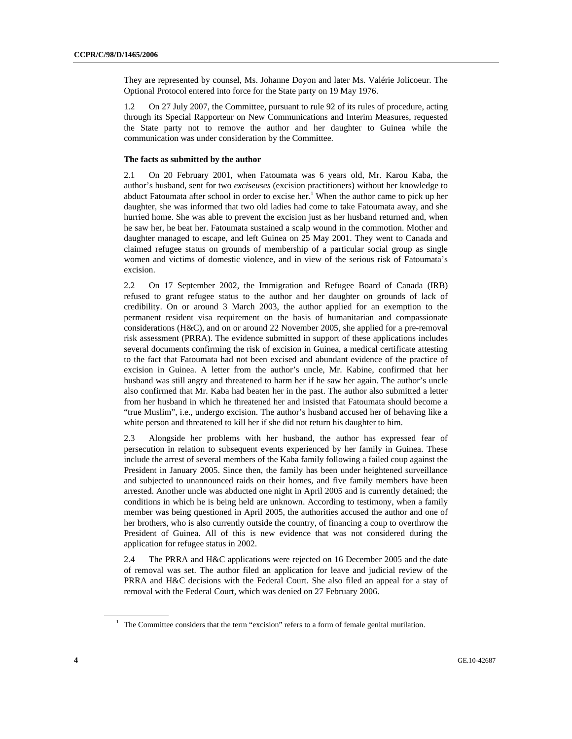They are represented by counsel, Ms. Johanne Doyon and later Ms. Valérie Jolicoeur. The Optional Protocol entered into force for the State party on 19 May 1976.

1.2 On 27 July 2007, the Committee, pursuant to rule 92 of its rules of procedure, acting through its Special Rapporteur on New Communications and Interim Measures, requested the State party not to remove the author and her daughter to Guinea while the communication was under consideration by the Committee.

#### **The facts as submitted by the author**

2.1 On 20 February 2001, when Fatoumata was 6 years old, Mr. Karou Kaba, the author's husband, sent for two *exciseuses* (excision practitioners) without her knowledge to abduct Fatoumata after school in order to excise her.<sup>1</sup> When the author came to pick up her daughter, she was informed that two old ladies had come to take Fatoumata away, and she hurried home. She was able to prevent the excision just as her husband returned and, when he saw her, he beat her. Fatoumata sustained a scalp wound in the commotion. Mother and daughter managed to escape, and left Guinea on 25 May 2001. They went to Canada and claimed refugee status on grounds of membership of a particular social group as single women and victims of domestic violence, and in view of the serious risk of Fatoumata's excision.

2.2 On 17 September 2002, the Immigration and Refugee Board of Canada (IRB) refused to grant refugee status to the author and her daughter on grounds of lack of credibility. On or around 3 March 2003, the author applied for an exemption to the permanent resident visa requirement on the basis of humanitarian and compassionate considerations (H&C), and on or around 22 November 2005, she applied for a pre-removal risk assessment (PRRA). The evidence submitted in support of these applications includes several documents confirming the risk of excision in Guinea, a medical certificate attesting to the fact that Fatoumata had not been excised and abundant evidence of the practice of excision in Guinea. A letter from the author's uncle, Mr. Kabine, confirmed that her husband was still angry and threatened to harm her if he saw her again. The author's uncle also confirmed that Mr. Kaba had beaten her in the past. The author also submitted a letter from her husband in which he threatened her and insisted that Fatoumata should become a "true Muslim", i.e., undergo excision. The author's husband accused her of behaving like a white person and threatened to kill her if she did not return his daughter to him.

2.3 Alongside her problems with her husband, the author has expressed fear of persecution in relation to subsequent events experienced by her family in Guinea. These include the arrest of several members of the Kaba family following a failed coup against the President in January 2005. Since then, the family has been under heightened surveillance and subjected to unannounced raids on their homes, and five family members have been arrested. Another uncle was abducted one night in April 2005 and is currently detained; the conditions in which he is being held are unknown. According to testimony, when a family member was being questioned in April 2005, the authorities accused the author and one of her brothers, who is also currently outside the country, of financing a coup to overthrow the President of Guinea. All of this is new evidence that was not considered during the application for refugee status in 2002.

2.4 The PRRA and H&C applications were rejected on 16 December 2005 and the date of removal was set. The author filed an application for leave and judicial review of the PRRA and H&C decisions with the Federal Court. She also filed an appeal for a stay of removal with the Federal Court, which was denied on 27 February 2006.

<sup>&</sup>lt;sup>1</sup> The Committee considers that the term "excision" refers to a form of female genital mutilation.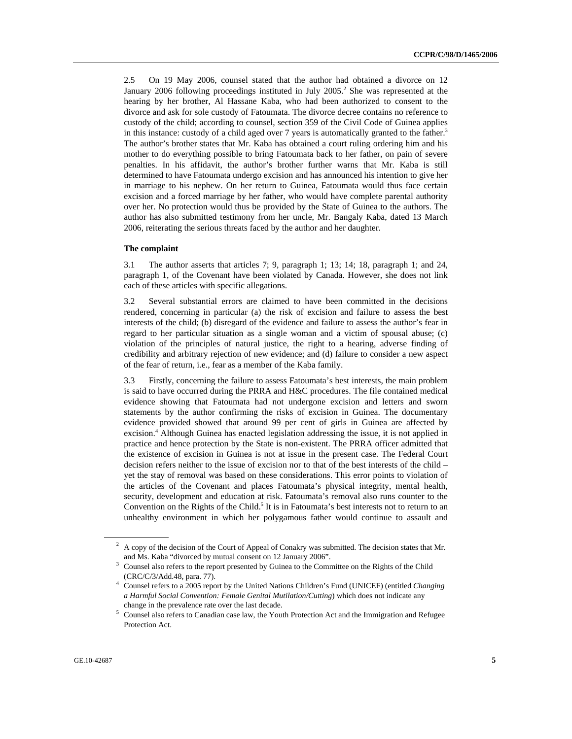2.5 On 19 May 2006, counsel stated that the author had obtained a divorce on 12 January 2006 following proceedings instituted in July 2005.<sup>2</sup> She was represented at the hearing by her brother, Al Hassane Kaba, who had been authorized to consent to the divorce and ask for sole custody of Fatoumata. The divorce decree contains no reference to custody of the child; according to counsel, section 359 of the Civil Code of Guinea applies in this instance: custody of a child aged over 7 years is automatically granted to the father.<sup>3</sup> The author's brother states that Mr. Kaba has obtained a court ruling ordering him and his mother to do everything possible to bring Fatoumata back to her father, on pain of severe penalties. In his affidavit, the author's brother further warns that Mr. Kaba is still determined to have Fatoumata undergo excision and has announced his intention to give her in marriage to his nephew. On her return to Guinea, Fatoumata would thus face certain excision and a forced marriage by her father, who would have complete parental authority over her. No protection would thus be provided by the State of Guinea to the authors. The author has also submitted testimony from her uncle, Mr. Bangaly Kaba, dated 13 March 2006, reiterating the serious threats faced by the author and her daughter.

#### **The complaint**

3.1 The author asserts that articles 7; 9, paragraph 1; 13; 14; 18, paragraph 1; and 24, paragraph 1, of the Covenant have been violated by Canada. However, she does not link each of these articles with specific allegations.

3.2 Several substantial errors are claimed to have been committed in the decisions rendered, concerning in particular (a) the risk of excision and failure to assess the best interests of the child; (b) disregard of the evidence and failure to assess the author's fear in regard to her particular situation as a single woman and a victim of spousal abuse; (c) violation of the principles of natural justice, the right to a hearing, adverse finding of credibility and arbitrary rejection of new evidence; and (d) failure to consider a new aspect of the fear of return, i.e., fear as a member of the Kaba family.

3.3 Firstly, concerning the failure to assess Fatoumata's best interests, the main problem is said to have occurred during the PRRA and H&C procedures. The file contained medical evidence showing that Fatoumata had not undergone excision and letters and sworn statements by the author confirming the risks of excision in Guinea. The documentary evidence provided showed that around 99 per cent of girls in Guinea are affected by excision.<sup>4</sup> Although Guinea has enacted legislation addressing the issue, it is not applied in practice and hence protection by the State is non-existent. The PRRA officer admitted that the existence of excision in Guinea is not at issue in the present case. The Federal Court decision refers neither to the issue of excision nor to that of the best interests of the child – yet the stay of removal was based on these considerations. This error points to violation of the articles of the Covenant and places Fatoumata's physical integrity, mental health, security, development and education at risk. Fatoumata's removal also runs counter to the Convention on the Rights of the Child.<sup>5</sup> It is in Fatoumata's best interests not to return to an unhealthy environment in which her polygamous father would continue to assault and

 $^2$  A copy of the decision of the Court of Appeal of Conakry was submitted. The decision states that Mr.

and Ms. Kaba "divorced by mutual consent on 12 January 2006".<br><sup>3</sup> Counsel also refers to the report presented by Guinea to the Committee on the Rights of the Child

<sup>(</sup>CRC/C/3/Add.48, para. 77). 4 Counsel refers to a 2005 report by the United Nations Children's Fund (UNICEF) (entitled *Changing a Harmful Social Convention: Female Genital Mutilation/Cutting*) which does not indicate any change in the prevalence rate over the last decade.<br><sup>5</sup> Counsel also refers to Canadian case law, the Yout

Counsel also refers to Canadian case law, the Youth Protection Act and the Immigration and Refugee Protection Act.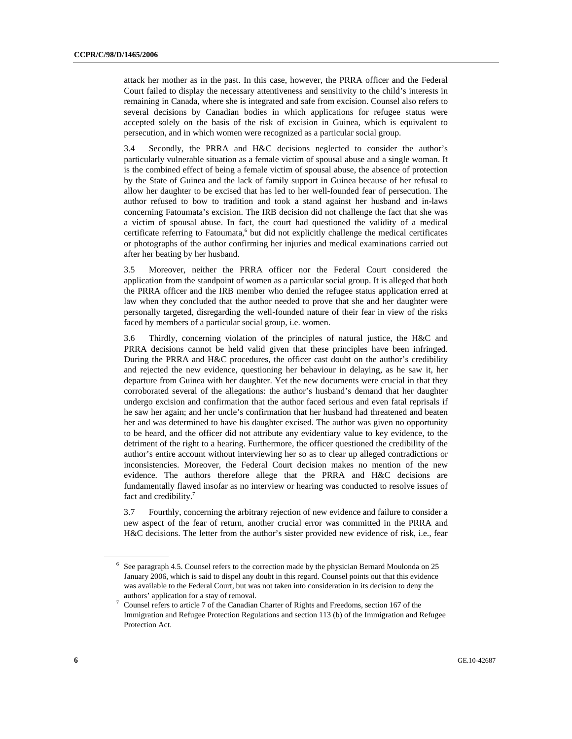attack her mother as in the past. In this case, however, the PRRA officer and the Federal Court failed to display the necessary attentiveness and sensitivity to the child's interests in remaining in Canada, where she is integrated and safe from excision. Counsel also refers to several decisions by Canadian bodies in which applications for refugee status were accepted solely on the basis of the risk of excision in Guinea, which is equivalent to persecution, and in which women were recognized as a particular social group.

3.4 Secondly, the PRRA and H&C decisions neglected to consider the author's particularly vulnerable situation as a female victim of spousal abuse and a single woman. It is the combined effect of being a female victim of spousal abuse, the absence of protection by the State of Guinea and the lack of family support in Guinea because of her refusal to allow her daughter to be excised that has led to her well-founded fear of persecution. The author refused to bow to tradition and took a stand against her husband and in-laws concerning Fatoumata's excision. The IRB decision did not challenge the fact that she was a victim of spousal abuse. In fact, the court had questioned the validity of a medical certificate referring to Fatoumata,<sup>6</sup> but did not explicitly challenge the medical certificates or photographs of the author confirming her injuries and medical examinations carried out after her beating by her husband.

3.5 Moreover, neither the PRRA officer nor the Federal Court considered the application from the standpoint of women as a particular social group. It is alleged that both the PRRA officer and the IRB member who denied the refugee status application erred at law when they concluded that the author needed to prove that she and her daughter were personally targeted, disregarding the well-founded nature of their fear in view of the risks faced by members of a particular social group, i.e. women.

3.6 Thirdly, concerning violation of the principles of natural justice, the H&C and PRRA decisions cannot be held valid given that these principles have been infringed. During the PRRA and H&C procedures, the officer cast doubt on the author's credibility and rejected the new evidence, questioning her behaviour in delaying, as he saw it, her departure from Guinea with her daughter. Yet the new documents were crucial in that they corroborated several of the allegations: the author's husband's demand that her daughter undergo excision and confirmation that the author faced serious and even fatal reprisals if he saw her again; and her uncle's confirmation that her husband had threatened and beaten her and was determined to have his daughter excised. The author was given no opportunity to be heard, and the officer did not attribute any evidentiary value to key evidence, to the detriment of the right to a hearing. Furthermore, the officer questioned the credibility of the author's entire account without interviewing her so as to clear up alleged contradictions or inconsistencies. Moreover, the Federal Court decision makes no mention of the new evidence. The authors therefore allege that the PRRA and H&C decisions are fundamentally flawed insofar as no interview or hearing was conducted to resolve issues of fact and credibility.<sup>7</sup>

3.7 Fourthly, concerning the arbitrary rejection of new evidence and failure to consider a new aspect of the fear of return, another crucial error was committed in the PRRA and H&C decisions. The letter from the author's sister provided new evidence of risk, i.e., fear

 $6$  See paragraph 4.5. Counsel refers to the correction made by the physician Bernard Moulonda on 25 January 2006, which is said to dispel any doubt in this regard. Counsel points out that this evidence was available to the Federal Court, but was not taken into consideration in its decision to deny the authors' application for a stay of removal. 7

Counsel refers to article 7 of the Canadian Charter of Rights and Freedoms, section 167 of the Immigration and Refugee Protection Regulations and section 113 (b) of the Immigration and Refugee Protection Act.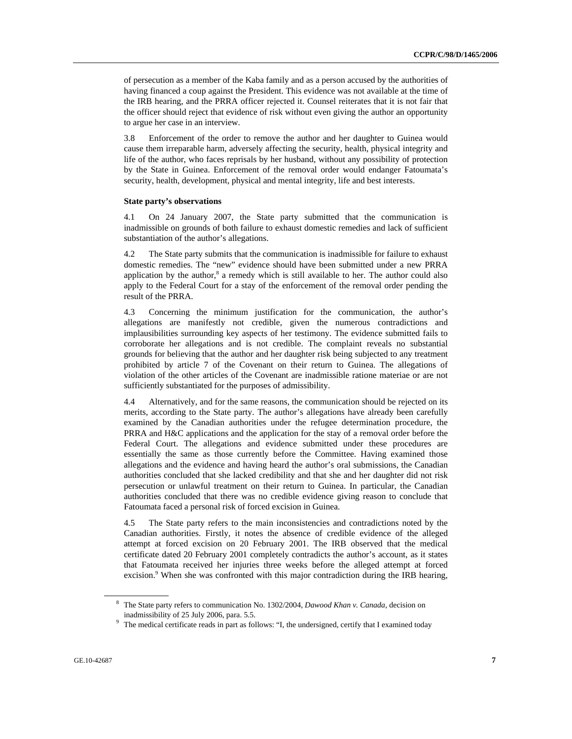of persecution as a member of the Kaba family and as a person accused by the authorities of having financed a coup against the President. This evidence was not available at the time of the IRB hearing, and the PRRA officer rejected it. Counsel reiterates that it is not fair that the officer should reject that evidence of risk without even giving the author an opportunity to argue her case in an interview.

3.8 Enforcement of the order to remove the author and her daughter to Guinea would cause them irreparable harm, adversely affecting the security, health, physical integrity and life of the author, who faces reprisals by her husband, without any possibility of protection by the State in Guinea. Enforcement of the removal order would endanger Fatoumata's security, health, development, physical and mental integrity, life and best interests.

#### **State party's observations**

4.1 On 24 January 2007, the State party submitted that the communication is inadmissible on grounds of both failure to exhaust domestic remedies and lack of sufficient substantiation of the author's allegations.

4.2 The State party submits that the communication is inadmissible for failure to exhaust domestic remedies. The "new" evidence should have been submitted under a new PRRA application by the author, $8$  a remedy which is still available to her. The author could also apply to the Federal Court for a stay of the enforcement of the removal order pending the result of the PRRA.

4.3 Concerning the minimum justification for the communication, the author's allegations are manifestly not credible, given the numerous contradictions and implausibilities surrounding key aspects of her testimony. The evidence submitted fails to corroborate her allegations and is not credible. The complaint reveals no substantial grounds for believing that the author and her daughter risk being subjected to any treatment prohibited by article 7 of the Covenant on their return to Guinea. The allegations of violation of the other articles of the Covenant are inadmissible ratione materiae or are not sufficiently substantiated for the purposes of admissibility.

4.4 Alternatively, and for the same reasons, the communication should be rejected on its merits, according to the State party. The author's allegations have already been carefully examined by the Canadian authorities under the refugee determination procedure, the PRRA and H&C applications and the application for the stay of a removal order before the Federal Court. The allegations and evidence submitted under these procedures are essentially the same as those currently before the Committee. Having examined those allegations and the evidence and having heard the author's oral submissions, the Canadian authorities concluded that she lacked credibility and that she and her daughter did not risk persecution or unlawful treatment on their return to Guinea. In particular, the Canadian authorities concluded that there was no credible evidence giving reason to conclude that Fatoumata faced a personal risk of forced excision in Guinea.

4.5 The State party refers to the main inconsistencies and contradictions noted by the Canadian authorities. Firstly, it notes the absence of credible evidence of the alleged attempt at forced excision on 20 February 2001. The IRB observed that the medical certificate dated 20 February 2001 completely contradicts the author's account, as it states that Fatoumata received her injuries three weeks before the alleged attempt at forced excision.<sup>9</sup> When she was confronted with this major contradiction during the IRB hearing,

<sup>8</sup> The State party refers to communication No. 1302/2004, *Dawood Khan v. Canada*, decision on inadmissibility of 25 July 2006, para. 5.5.<br>
<sup>9</sup> The medical certificate reads in part as follows: "I, the undersigned, certify that I examined today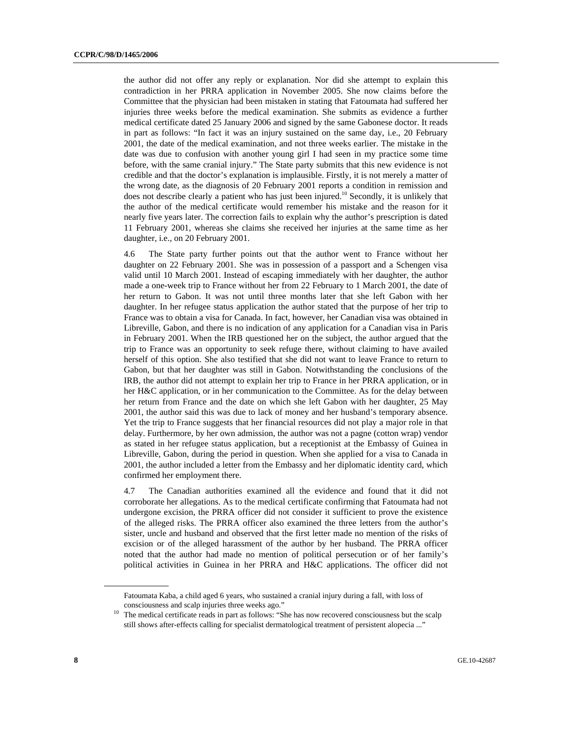the author did not offer any reply or explanation. Nor did she attempt to explain this contradiction in her PRRA application in November 2005. She now claims before the Committee that the physician had been mistaken in stating that Fatoumata had suffered her injuries three weeks before the medical examination. She submits as evidence a further medical certificate dated 25 January 2006 and signed by the same Gabonese doctor. It reads in part as follows: "In fact it was an injury sustained on the same day, i.e., 20 February 2001, the date of the medical examination, and not three weeks earlier. The mistake in the date was due to confusion with another young girl I had seen in my practice some time before, with the same cranial injury." The State party submits that this new evidence is not credible and that the doctor's explanation is implausible. Firstly, it is not merely a matter of the wrong date, as the diagnosis of 20 February 2001 reports a condition in remission and does not describe clearly a patient who has just been injured.<sup>10</sup> Secondly, it is unlikely that the author of the medical certificate would remember his mistake and the reason for it nearly five years later. The correction fails to explain why the author's prescription is dated 11 February 2001, whereas she claims she received her injuries at the same time as her daughter, i.e., on 20 February 2001.

4.6 The State party further points out that the author went to France without her daughter on 22 February 2001. She was in possession of a passport and a Schengen visa valid until 10 March 2001. Instead of escaping immediately with her daughter, the author made a one-week trip to France without her from 22 February to 1 March 2001, the date of her return to Gabon. It was not until three months later that she left Gabon with her daughter. In her refugee status application the author stated that the purpose of her trip to France was to obtain a visa for Canada. In fact, however, her Canadian visa was obtained in Libreville, Gabon, and there is no indication of any application for a Canadian visa in Paris in February 2001. When the IRB questioned her on the subject, the author argued that the trip to France was an opportunity to seek refuge there, without claiming to have availed herself of this option. She also testified that she did not want to leave France to return to Gabon, but that her daughter was still in Gabon. Notwithstanding the conclusions of the IRB, the author did not attempt to explain her trip to France in her PRRA application, or in her H&C application, or in her communication to the Committee. As for the delay between her return from France and the date on which she left Gabon with her daughter, 25 May 2001, the author said this was due to lack of money and her husband's temporary absence. Yet the trip to France suggests that her financial resources did not play a major role in that delay. Furthermore, by her own admission, the author was not a pagne (cotton wrap) vendor as stated in her refugee status application, but a receptionist at the Embassy of Guinea in Libreville, Gabon, during the period in question. When she applied for a visa to Canada in 2001, the author included a letter from the Embassy and her diplomatic identity card, which confirmed her employment there.

4.7 The Canadian authorities examined all the evidence and found that it did not corroborate her allegations. As to the medical certificate confirming that Fatoumata had not undergone excision, the PRRA officer did not consider it sufficient to prove the existence of the alleged risks. The PRRA officer also examined the three letters from the author's sister, uncle and husband and observed that the first letter made no mention of the risks of excision or of the alleged harassment of the author by her husband. The PRRA officer noted that the author had made no mention of political persecution or of her family's political activities in Guinea in her PRRA and H&C applications. The officer did not

Fatoumata Kaba, a child aged 6 years, who sustained a cranial injury during a fall, with loss of consciousness and scalp injuries three weeks ago."<br><sup>10</sup> The medical certificate reads in part as follows: "She has now recovered consciousness but the scalp

still shows after-effects calling for specialist dermatological treatment of persistent alopecia ..."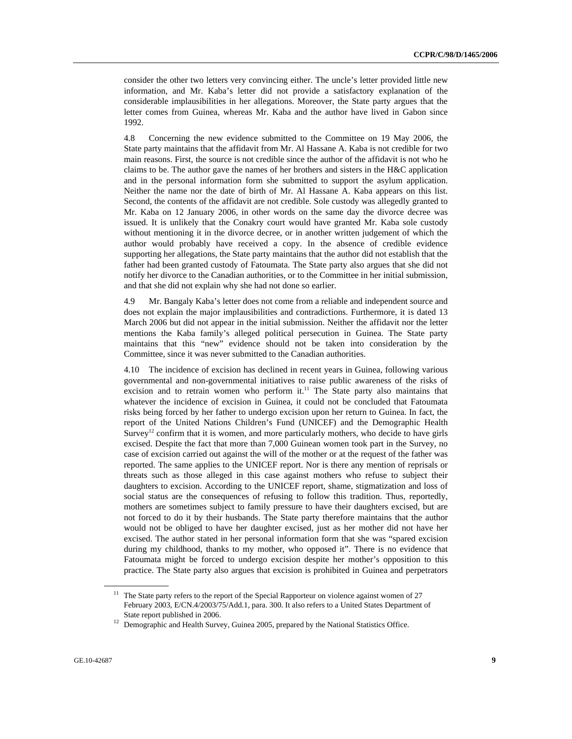consider the other two letters very convincing either. The uncle's letter provided little new information, and Mr. Kaba's letter did not provide a satisfactory explanation of the considerable implausibilities in her allegations. Moreover, the State party argues that the letter comes from Guinea, whereas Mr. Kaba and the author have lived in Gabon since 1992.

4.8 Concerning the new evidence submitted to the Committee on 19 May 2006, the State party maintains that the affidavit from Mr. Al Hassane A. Kaba is not credible for two main reasons. First, the source is not credible since the author of the affidavit is not who he claims to be. The author gave the names of her brothers and sisters in the H&C application and in the personal information form she submitted to support the asylum application. Neither the name nor the date of birth of Mr. Al Hassane A. Kaba appears on this list. Second, the contents of the affidavit are not credible. Sole custody was allegedly granted to Mr. Kaba on 12 January 2006, in other words on the same day the divorce decree was issued. It is unlikely that the Conakry court would have granted Mr. Kaba sole custody without mentioning it in the divorce decree, or in another written judgement of which the author would probably have received a copy. In the absence of credible evidence supporting her allegations, the State party maintains that the author did not establish that the father had been granted custody of Fatoumata. The State party also argues that she did not notify her divorce to the Canadian authorities, or to the Committee in her initial submission, and that she did not explain why she had not done so earlier.

4.9 Mr. Bangaly Kaba's letter does not come from a reliable and independent source and does not explain the major implausibilities and contradictions. Furthermore, it is dated 13 March 2006 but did not appear in the initial submission. Neither the affidavit nor the letter mentions the Kaba family's alleged political persecution in Guinea. The State party maintains that this "new" evidence should not be taken into consideration by the Committee, since it was never submitted to the Canadian authorities.

4.10 The incidence of excision has declined in recent years in Guinea, following various governmental and non-governmental initiatives to raise public awareness of the risks of excision and to retrain women who perform it.<sup>11</sup> The State party also maintains that whatever the incidence of excision in Guinea, it could not be concluded that Fatoumata risks being forced by her father to undergo excision upon her return to Guinea. In fact, the report of the United Nations Children's Fund (UNICEF) and the Demographic Health Survey<sup>12</sup> confirm that it is women, and more particularly mothers, who decide to have girls excised. Despite the fact that more than 7,000 Guinean women took part in the Survey, no case of excision carried out against the will of the mother or at the request of the father was reported. The same applies to the UNICEF report. Nor is there any mention of reprisals or threats such as those alleged in this case against mothers who refuse to subject their daughters to excision. According to the UNICEF report, shame, stigmatization and loss of social status are the consequences of refusing to follow this tradition. Thus, reportedly, mothers are sometimes subject to family pressure to have their daughters excised, but are not forced to do it by their husbands. The State party therefore maintains that the author would not be obliged to have her daughter excised, just as her mother did not have her excised. The author stated in her personal information form that she was "spared excision during my childhood, thanks to my mother, who opposed it". There is no evidence that Fatoumata might be forced to undergo excision despite her mother's opposition to this practice. The State party also argues that excision is prohibited in Guinea and perpetrators

<sup>&</sup>lt;sup>11</sup> The State party refers to the report of the Special Rapporteur on violence against women of 27 February 2003, E/CN.4/2003/75/Add.1, para. 300. It also refers to a United States Department of State report published in 2006. 12 Demographic and Health Survey, Guinea 2005, prepared by the National Statistics Office.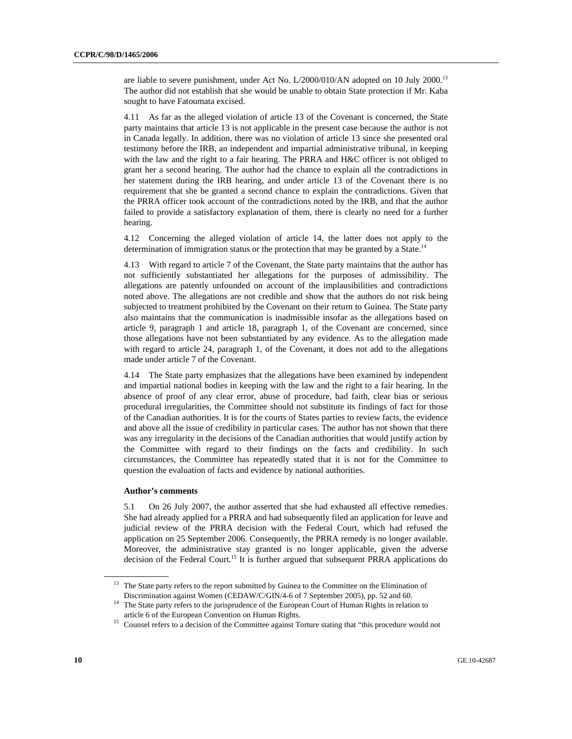are liable to severe punishment, under Act No.  $L/2000/010/AN$  adopted on 10 July 2000.<sup>13</sup> The author did not establish that she would be unable to obtain State protection if Mr. Kaba sought to have Fatoumata excised.

4.11 As far as the alleged violation of article 13 of the Covenant is concerned, the State party maintains that article 13 is not applicable in the present case because the author is not in Canada legally. In addition, there was no violation of article 13 since she presented oral testimony before the IRB, an independent and impartial administrative tribunal, in keeping with the law and the right to a fair hearing. The PRRA and H&C officer is not obliged to grant her a second hearing. The author had the chance to explain all the contradictions in her statement during the IRB hearing, and under article 13 of the Covenant there is no requirement that she be granted a second chance to explain the contradictions. Given that the PRRA officer took account of the contradictions noted by the IRB, and that the author failed to provide a satisfactory explanation of them, there is clearly no need for a further hearing.

4.12 Concerning the alleged violation of article 14, the latter does not apply to the determination of immigration status or the protection that may be granted by a State.<sup>14</sup>

4.13 With regard to article 7 of the Covenant, the State party maintains that the author has not sufficiently substantiated her allegations for the purposes of admissibility. The allegations are patently unfounded on account of the implausibilities and contradictions noted above. The allegations are not credible and show that the authors do not risk being subjected to treatment prohibited by the Covenant on their return to Guinea. The State party also maintains that the communication is inadmissible insofar as the allegations based on article 9, paragraph 1 and article 18, paragraph 1, of the Covenant are concerned, since those allegations have not been substantiated by any evidence. As to the allegation made with regard to article 24, paragraph 1, of the Covenant, it does not add to the allegations made under article 7 of the Covenant.

4.14 The State party emphasizes that the allegations have been examined by independent and impartial national bodies in keeping with the law and the right to a fair hearing. In the absence of proof of any clear error, abuse of procedure, bad faith, clear bias or serious procedural irregularities, the Committee should not substitute its findings of fact for those of the Canadian authorities. It is for the courts of States parties to review facts, the evidence and above all the issue of credibility in particular cases. The author has not shown that there was any irregularity in the decisions of the Canadian authorities that would justify action by the Committee with regard to their findings on the facts and credibility. In such circumstances, the Committee has repeatedly stated that it is not for the Committee to question the evaluation of facts and evidence by national authorities.

#### **Author's comments**

5.1 On 26 July 2007, the author asserted that she had exhausted all effective remedies. She had already applied for a PRRA and had subsequently filed an application for leave and judicial review of the PRRA decision with the Federal Court, which had refused the application on 25 September 2006. Consequently, the PRRA remedy is no longer available. Moreover, the administrative stay granted is no longer applicable, given the adverse decision of the Federal Court.<sup>15</sup> It is further argued that subsequent PRRA applications do

<sup>&</sup>lt;sup>13</sup> The State party refers to the report submitted by Guinea to the Committee on the Elimination of Discrimination against Women (CEDAW/C/GIN/4-6 of 7 September 2005), pp. 52 and 60.

 $14$  The State party refers to the jurisprudence of the European Court of Human Rights in relation to article 6 of the European Convention on Human Rights. 15 Counsel refers to a decision of the Committee against Torture stating that "this procedure would not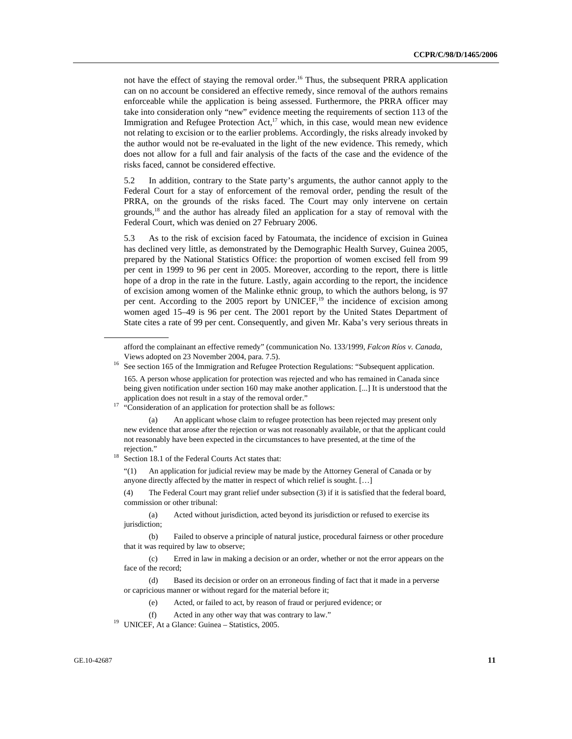not have the effect of staying the removal order.<sup>16</sup> Thus, the subsequent PRRA application can on no account be considered an effective remedy, since removal of the authors remains enforceable while the application is being assessed. Furthermore, the PRRA officer may take into consideration only "new" evidence meeting the requirements of section 113 of the Immigration and Refugee Protection Act, $17$  which, in this case, would mean new evidence not relating to excision or to the earlier problems. Accordingly, the risks already invoked by the author would not be re-evaluated in the light of the new evidence. This remedy, which does not allow for a full and fair analysis of the facts of the case and the evidence of the risks faced, cannot be considered effective.

5.2 In addition, contrary to the State party's arguments, the author cannot apply to the Federal Court for a stay of enforcement of the removal order, pending the result of the PRRA, on the grounds of the risks faced. The Court may only intervene on certain grounds, $18$  and the author has already filed an application for a stay of removal with the Federal Court, which was denied on 27 February 2006.

5.3 As to the risk of excision faced by Fatoumata, the incidence of excision in Guinea has declined very little, as demonstrated by the Demographic Health Survey, Guinea 2005, prepared by the National Statistics Office: the proportion of women excised fell from 99 per cent in 1999 to 96 per cent in 2005. Moreover, according to the report, there is little hope of a drop in the rate in the future. Lastly, again according to the report, the incidence of excision among women of the Malinke ethnic group, to which the authors belong, is 97 per cent. According to the  $2005$  report by UNICEF,<sup>19</sup> the incidence of excision among women aged 15–49 is 96 per cent. The 2001 report by the United States Department of State cites a rate of 99 per cent. Consequently, and given Mr. Kaba's very serious threats in

rejection." 18 Section 18.1 of the Federal Courts Act states that:

 "(1) An application for judicial review may be made by the Attorney General of Canada or by anyone directly affected by the matter in respect of which relief is sought. […]

 (4) The Federal Court may grant relief under subsection (3) if it is satisfied that the federal board, commission or other tribunal:

 (a) Acted without jurisdiction, acted beyond its jurisdiction or refused to exercise its jurisdiction;

 (b) Failed to observe a principle of natural justice, procedural fairness or other procedure that it was required by law to observe;

afford the complainant an effective remedy" (communication No. 133/1999, *Falcon Ríos v. Canada*, Views adopted on 23 November 2004, para. 7.5).<br><sup>16</sup> See section 165 of the Immigration and Refugee Protection Regulations: "Subsequent application.

 <sup>165.</sup> A person whose application for protection was rejected and who has remained in Canada since being given notification under section 160 may make another application. [...] It is understood that the application does not result in a stay of the removal order."  $\cdot$  "Consideration of an application for protection shall be as follows:

 <sup>(</sup>a) An applicant whose claim to refugee protection has been rejected may present only new evidence that arose after the rejection or was not reasonably available, or that the applicant could not reasonably have been expected in the circumstances to have presented, at the time of the

 <sup>(</sup>c) Erred in law in making a decision or an order, whether or not the error appears on the face of the record;

 <sup>(</sup>d) Based its decision or order on an erroneous finding of fact that it made in a perverse or capricious manner or without regard for the material before it;

 <sup>(</sup>e) Acted, or failed to act, by reason of fraud or perjured evidence; or

 <sup>(</sup>f) Acted in any other way that was contrary to law." 19 UNICEF, At a Glance: Guinea – Statistics, 2005.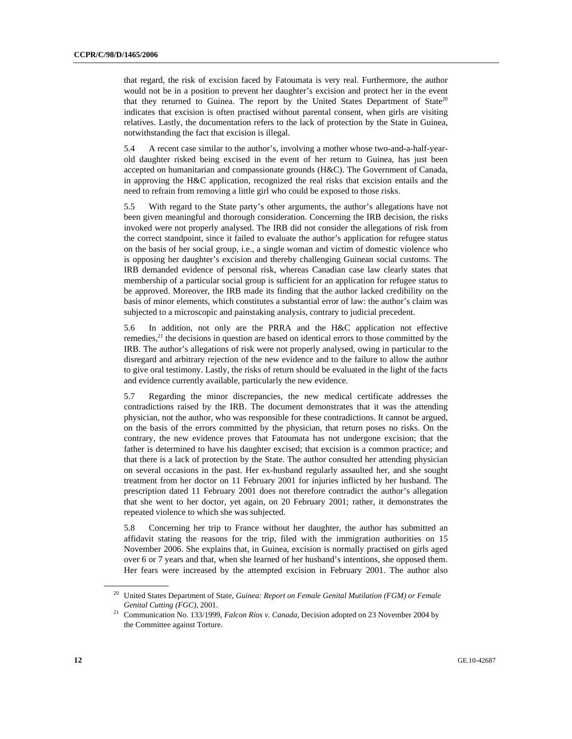that regard, the risk of excision faced by Fatoumata is very real. Furthermore, the author would not be in a position to prevent her daughter's excision and protect her in the event that they returned to Guinea. The report by the United States Department of State<sup>20</sup> indicates that excision is often practised without parental consent, when girls are visiting relatives. Lastly, the documentation refers to the lack of protection by the State in Guinea, notwithstanding the fact that excision is illegal.

5.4 A recent case similar to the author's, involving a mother whose two-and-a-half-yearold daughter risked being excised in the event of her return to Guinea, has just been accepted on humanitarian and compassionate grounds (H&C). The Government of Canada, in approving the H&C application, recognized the real risks that excision entails and the need to refrain from removing a little girl who could be exposed to those risks.

5.5 With regard to the State party's other arguments, the author's allegations have not been given meaningful and thorough consideration. Concerning the IRB decision, the risks invoked were not properly analysed. The IRB did not consider the allegations of risk from the correct standpoint, since it failed to evaluate the author's application for refugee status on the basis of her social group, i.e., a single woman and victim of domestic violence who is opposing her daughter's excision and thereby challenging Guinean social customs. The IRB demanded evidence of personal risk, whereas Canadian case law clearly states that membership of a particular social group is sufficient for an application for refugee status to be approved. Moreover, the IRB made its finding that the author lacked credibility on the basis of minor elements, which constitutes a substantial error of law: the author's claim was subjected to a microscopic and painstaking analysis, contrary to judicial precedent.

5.6 In addition, not only are the PRRA and the H&C application not effective remedies, $2<sup>1</sup>$  the decisions in question are based on identical errors to those committed by the IRB. The author's allegations of risk were not properly analysed, owing in particular to the disregard and arbitrary rejection of the new evidence and to the failure to allow the author to give oral testimony. Lastly, the risks of return should be evaluated in the light of the facts and evidence currently available, particularly the new evidence.

5.7 Regarding the minor discrepancies, the new medical certificate addresses the contradictions raised by the IRB. The document demonstrates that it was the attending physician, not the author, who was responsible for these contradictions. It cannot be argued, on the basis of the errors committed by the physician, that return poses no risks. On the contrary, the new evidence proves that Fatoumata has not undergone excision; that the father is determined to have his daughter excised; that excision is a common practice; and that there is a lack of protection by the State. The author consulted her attending physician on several occasions in the past. Her ex-husband regularly assaulted her, and she sought treatment from her doctor on 11 February 2001 for injuries inflicted by her husband. The prescription dated 11 February 2001 does not therefore contradict the author's allegation that she went to her doctor, yet again, on 20 February 2001; rather, it demonstrates the repeated violence to which she was subjected.

5.8 Concerning her trip to France without her daughter, the author has submitted an affidavit stating the reasons for the trip, filed with the immigration authorities on 15 November 2006. She explains that, in Guinea, excision is normally practised on girls aged over 6 or 7 years and that, when she learned of her husband's intentions, she opposed them. Her fears were increased by the attempted excision in February 2001. The author also

<sup>20</sup> United States Department of State, *Guinea: Report on Female Genital Mutilation (FGM) or Female* 

*Genital Cutting (FGC)*, 2001. 21 Communication No. 133/1999, *Falcon Ríos v. Canada*, Decision adopted on 23 November 2004 by the Committee against Torture.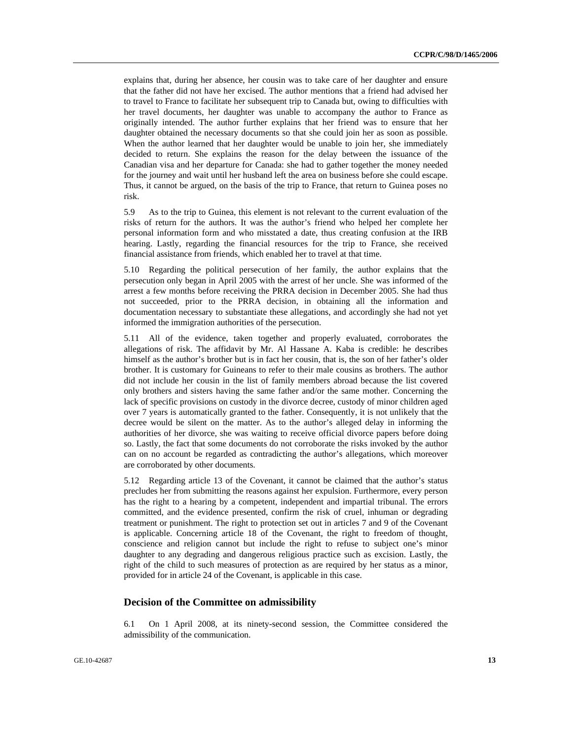explains that, during her absence, her cousin was to take care of her daughter and ensure that the father did not have her excised. The author mentions that a friend had advised her to travel to France to facilitate her subsequent trip to Canada but, owing to difficulties with her travel documents, her daughter was unable to accompany the author to France as originally intended. The author further explains that her friend was to ensure that her daughter obtained the necessary documents so that she could join her as soon as possible. When the author learned that her daughter would be unable to join her, she immediately decided to return. She explains the reason for the delay between the issuance of the Canadian visa and her departure for Canada: she had to gather together the money needed for the journey and wait until her husband left the area on business before she could escape. Thus, it cannot be argued, on the basis of the trip to France, that return to Guinea poses no risk.

5.9 As to the trip to Guinea, this element is not relevant to the current evaluation of the risks of return for the authors. It was the author's friend who helped her complete her personal information form and who misstated a date, thus creating confusion at the IRB hearing. Lastly, regarding the financial resources for the trip to France, she received financial assistance from friends, which enabled her to travel at that time.

5.10 Regarding the political persecution of her family, the author explains that the persecution only began in April 2005 with the arrest of her uncle. She was informed of the arrest a few months before receiving the PRRA decision in December 2005. She had thus not succeeded, prior to the PRRA decision, in obtaining all the information and documentation necessary to substantiate these allegations, and accordingly she had not yet informed the immigration authorities of the persecution.

5.11 All of the evidence, taken together and properly evaluated, corroborates the allegations of risk. The affidavit by Mr. Al Hassane A. Kaba is credible: he describes himself as the author's brother but is in fact her cousin, that is, the son of her father's older brother. It is customary for Guineans to refer to their male cousins as brothers. The author did not include her cousin in the list of family members abroad because the list covered only brothers and sisters having the same father and/or the same mother. Concerning the lack of specific provisions on custody in the divorce decree, custody of minor children aged over 7 years is automatically granted to the father. Consequently, it is not unlikely that the decree would be silent on the matter. As to the author's alleged delay in informing the authorities of her divorce, she was waiting to receive official divorce papers before doing so. Lastly, the fact that some documents do not corroborate the risks invoked by the author can on no account be regarded as contradicting the author's allegations, which moreover are corroborated by other documents.

5.12 Regarding article 13 of the Covenant, it cannot be claimed that the author's status precludes her from submitting the reasons against her expulsion. Furthermore, every person has the right to a hearing by a competent, independent and impartial tribunal. The errors committed, and the evidence presented, confirm the risk of cruel, inhuman or degrading treatment or punishment. The right to protection set out in articles 7 and 9 of the Covenant is applicable. Concerning article 18 of the Covenant, the right to freedom of thought, conscience and religion cannot but include the right to refuse to subject one's minor daughter to any degrading and dangerous religious practice such as excision. Lastly, the right of the child to such measures of protection as are required by her status as a minor, provided for in article 24 of the Covenant, is applicable in this case.

#### **Decision of the Committee on admissibility**

6.1 On 1 April 2008, at its ninety-second session, the Committee considered the admissibility of the communication.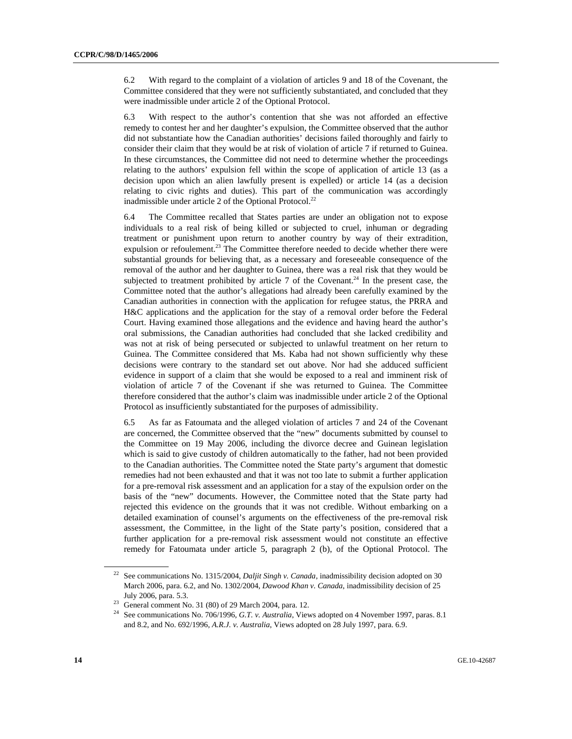6.2 With regard to the complaint of a violation of articles 9 and 18 of the Covenant, the Committee considered that they were not sufficiently substantiated, and concluded that they were inadmissible under article 2 of the Optional Protocol.

6.3 With respect to the author's contention that she was not afforded an effective remedy to contest her and her daughter's expulsion, the Committee observed that the author did not substantiate how the Canadian authorities' decisions failed thoroughly and fairly to consider their claim that they would be at risk of violation of article 7 if returned to Guinea. In these circumstances, the Committee did not need to determine whether the proceedings relating to the authors' expulsion fell within the scope of application of article 13 (as a decision upon which an alien lawfully present is expelled) or article 14 (as a decision relating to civic rights and duties). This part of the communication was accordingly inadmissible under article 2 of the Optional Protocol.<sup>22</sup>

6.4 The Committee recalled that States parties are under an obligation not to expose individuals to a real risk of being killed or subjected to cruel, inhuman or degrading treatment or punishment upon return to another country by way of their extradition, expulsion or refoulement. $23$  The Committee therefore needed to decide whether there were substantial grounds for believing that, as a necessary and foreseeable consequence of the removal of the author and her daughter to Guinea, there was a real risk that they would be subjected to treatment prohibited by article 7 of the Covenant.<sup>24</sup> In the present case, the Committee noted that the author's allegations had already been carefully examined by the Canadian authorities in connection with the application for refugee status, the PRRA and H&C applications and the application for the stay of a removal order before the Federal Court. Having examined those allegations and the evidence and having heard the author's oral submissions, the Canadian authorities had concluded that she lacked credibility and was not at risk of being persecuted or subjected to unlawful treatment on her return to Guinea. The Committee considered that Ms. Kaba had not shown sufficiently why these decisions were contrary to the standard set out above. Nor had she adduced sufficient evidence in support of a claim that she would be exposed to a real and imminent risk of violation of article 7 of the Covenant if she was returned to Guinea. The Committee therefore considered that the author's claim was inadmissible under article 2 of the Optional Protocol as insufficiently substantiated for the purposes of admissibility.

6.5 As far as Fatoumata and the alleged violation of articles 7 and 24 of the Covenant are concerned, the Committee observed that the "new" documents submitted by counsel to the Committee on 19 May 2006, including the divorce decree and Guinean legislation which is said to give custody of children automatically to the father, had not been provided to the Canadian authorities. The Committee noted the State party's argument that domestic remedies had not been exhausted and that it was not too late to submit a further application for a pre-removal risk assessment and an application for a stay of the expulsion order on the basis of the "new" documents. However, the Committee noted that the State party had rejected this evidence on the grounds that it was not credible. Without embarking on a detailed examination of counsel's arguments on the effectiveness of the pre-removal risk assessment, the Committee, in the light of the State party's position, considered that a further application for a pre-removal risk assessment would not constitute an effective remedy for Fatoumata under article 5, paragraph 2 (b), of the Optional Protocol. The

<sup>&</sup>lt;sup>22</sup> See communications No. 1315/2004, *Daljit Singh v. Canada*, inadmissibility decision adopted on 30 March 2006, para. 6.2, and No. 1302/2004, *Dawood Khan v. Canada*, inadmissibility decision of 25 July 2006, para. 5.3. 23 General comment No. 31 (80) of 29 March 2004, para. 12.

<sup>&</sup>lt;sup>24</sup> See communications No. 706/1996, *G.T. v. Australia*, Views adopted on 4 November 1997, paras. 8.1 and 8.2, and No. 692/1996, *A.R.J. v. Australia*, Views adopted on 28 July 1997, para. 6.9.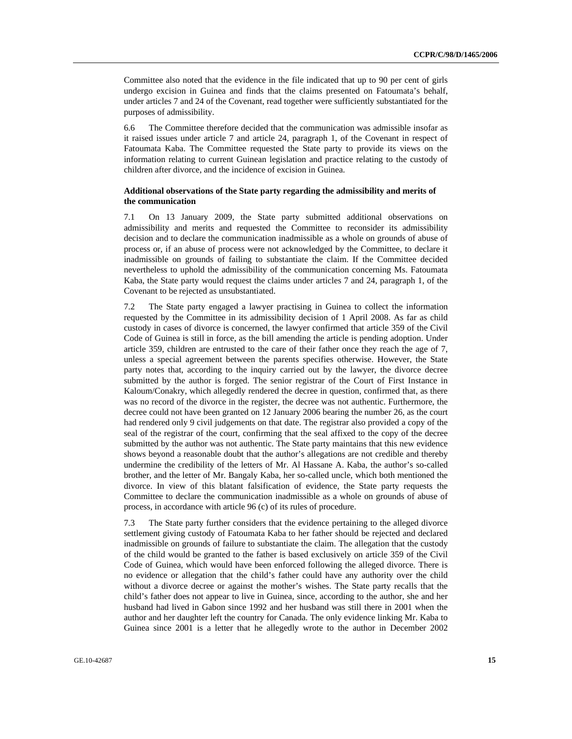Committee also noted that the evidence in the file indicated that up to 90 per cent of girls undergo excision in Guinea and finds that the claims presented on Fatoumata's behalf, under articles 7 and 24 of the Covenant, read together were sufficiently substantiated for the purposes of admissibility.

6.6 The Committee therefore decided that the communication was admissible insofar as it raised issues under article 7 and article 24, paragraph 1, of the Covenant in respect of Fatoumata Kaba. The Committee requested the State party to provide its views on the information relating to current Guinean legislation and practice relating to the custody of children after divorce, and the incidence of excision in Guinea.

#### **Additional observations of the State party regarding the admissibility and merits of the communication**

7.1 On 13 January 2009, the State party submitted additional observations on admissibility and merits and requested the Committee to reconsider its admissibility decision and to declare the communication inadmissible as a whole on grounds of abuse of process or, if an abuse of process were not acknowledged by the Committee, to declare it inadmissible on grounds of failing to substantiate the claim. If the Committee decided nevertheless to uphold the admissibility of the communication concerning Ms. Fatoumata Kaba, the State party would request the claims under articles 7 and 24, paragraph 1, of the Covenant to be rejected as unsubstantiated.

7.2 The State party engaged a lawyer practising in Guinea to collect the information requested by the Committee in its admissibility decision of 1 April 2008. As far as child custody in cases of divorce is concerned, the lawyer confirmed that article 359 of the Civil Code of Guinea is still in force, as the bill amending the article is pending adoption. Under article 359, children are entrusted to the care of their father once they reach the age of 7, unless a special agreement between the parents specifies otherwise. However, the State party notes that, according to the inquiry carried out by the lawyer, the divorce decree submitted by the author is forged. The senior registrar of the Court of First Instance in Kaloum/Conakry, which allegedly rendered the decree in question, confirmed that, as there was no record of the divorce in the register, the decree was not authentic. Furthermore, the decree could not have been granted on 12 January 2006 bearing the number 26, as the court had rendered only 9 civil judgements on that date. The registrar also provided a copy of the seal of the registrar of the court, confirming that the seal affixed to the copy of the decree submitted by the author was not authentic. The State party maintains that this new evidence shows beyond a reasonable doubt that the author's allegations are not credible and thereby undermine the credibility of the letters of Mr. Al Hassane A. Kaba, the author's so-called brother, and the letter of Mr. Bangaly Kaba, her so-called uncle, which both mentioned the divorce. In view of this blatant falsification of evidence, the State party requests the Committee to declare the communication inadmissible as a whole on grounds of abuse of process, in accordance with article 96 (c) of its rules of procedure.

7.3 The State party further considers that the evidence pertaining to the alleged divorce settlement giving custody of Fatoumata Kaba to her father should be rejected and declared inadmissible on grounds of failure to substantiate the claim. The allegation that the custody of the child would be granted to the father is based exclusively on article 359 of the Civil Code of Guinea, which would have been enforced following the alleged divorce. There is no evidence or allegation that the child's father could have any authority over the child without a divorce decree or against the mother's wishes. The State party recalls that the child's father does not appear to live in Guinea, since, according to the author, she and her husband had lived in Gabon since 1992 and her husband was still there in 2001 when the author and her daughter left the country for Canada. The only evidence linking Mr. Kaba to Guinea since 2001 is a letter that he allegedly wrote to the author in December 2002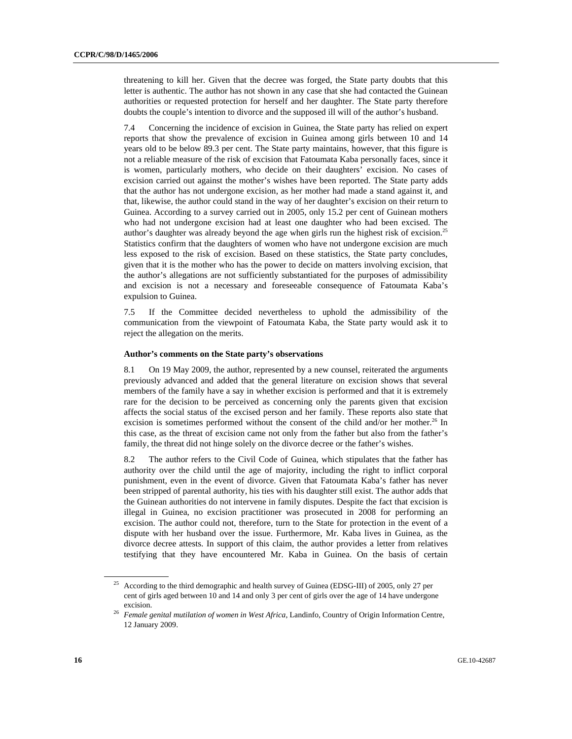threatening to kill her. Given that the decree was forged, the State party doubts that this letter is authentic. The author has not shown in any case that she had contacted the Guinean authorities or requested protection for herself and her daughter. The State party therefore doubts the couple's intention to divorce and the supposed ill will of the author's husband.

7.4 Concerning the incidence of excision in Guinea, the State party has relied on expert reports that show the prevalence of excision in Guinea among girls between 10 and 14 years old to be below 89.3 per cent. The State party maintains, however, that this figure is not a reliable measure of the risk of excision that Fatoumata Kaba personally faces, since it is women, particularly mothers, who decide on their daughters' excision. No cases of excision carried out against the mother's wishes have been reported. The State party adds that the author has not undergone excision, as her mother had made a stand against it, and that, likewise, the author could stand in the way of her daughter's excision on their return to Guinea. According to a survey carried out in 2005, only 15.2 per cent of Guinean mothers who had not undergone excision had at least one daughter who had been excised. The author's daughter was already beyond the age when girls run the highest risk of excision.<sup>25</sup> Statistics confirm that the daughters of women who have not undergone excision are much less exposed to the risk of excision. Based on these statistics, the State party concludes, given that it is the mother who has the power to decide on matters involving excision, that the author's allegations are not sufficiently substantiated for the purposes of admissibility and excision is not a necessary and foreseeable consequence of Fatoumata Kaba's expulsion to Guinea.

7.5 If the Committee decided nevertheless to uphold the admissibility of the communication from the viewpoint of Fatoumata Kaba, the State party would ask it to reject the allegation on the merits.

#### **Author's comments on the State party's observations**

8.1 On 19 May 2009, the author, represented by a new counsel, reiterated the arguments previously advanced and added that the general literature on excision shows that several members of the family have a say in whether excision is performed and that it is extremely rare for the decision to be perceived as concerning only the parents given that excision affects the social status of the excised person and her family. These reports also state that excision is sometimes performed without the consent of the child and/or her mother.<sup>26</sup> In this case, as the threat of excision came not only from the father but also from the father's family, the threat did not hinge solely on the divorce decree or the father's wishes.

8.2 The author refers to the Civil Code of Guinea, which stipulates that the father has authority over the child until the age of majority, including the right to inflict corporal punishment, even in the event of divorce. Given that Fatoumata Kaba's father has never been stripped of parental authority, his ties with his daughter still exist. The author adds that the Guinean authorities do not intervene in family disputes. Despite the fact that excision is illegal in Guinea, no excision practitioner was prosecuted in 2008 for performing an excision. The author could not, therefore, turn to the State for protection in the event of a dispute with her husband over the issue. Furthermore, Mr. Kaba lives in Guinea, as the divorce decree attests. In support of this claim, the author provides a letter from relatives testifying that they have encountered Mr. Kaba in Guinea. On the basis of certain

<sup>&</sup>lt;sup>25</sup> According to the third demographic and health survey of Guinea (EDSG-III) of 2005, only 27 per cent of girls aged between 10 and 14 and only 3 per cent of girls over the age of 14 have undergone

excision. 26 *Female genital mutilation of women in West Africa*, Landinfo, Country of Origin Information Centre, 12 January 2009.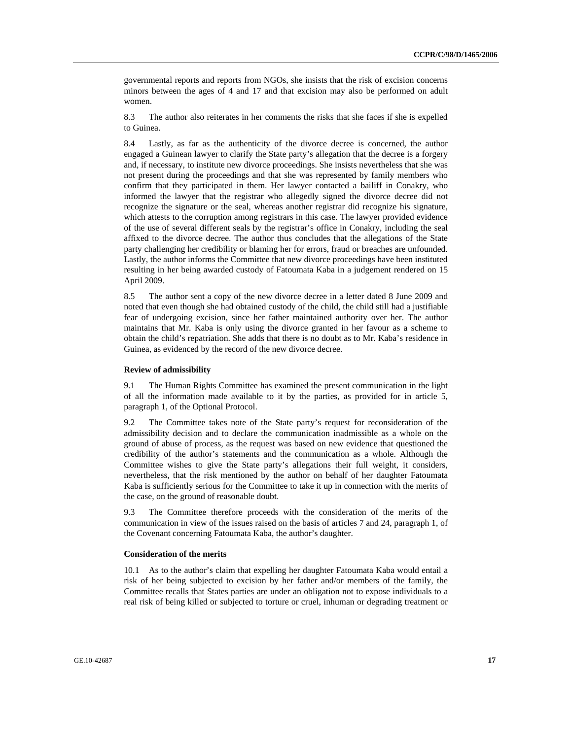governmental reports and reports from NGOs, she insists that the risk of excision concerns minors between the ages of 4 and 17 and that excision may also be performed on adult women.

8.3 The author also reiterates in her comments the risks that she faces if she is expelled to Guinea.

8.4 Lastly, as far as the authenticity of the divorce decree is concerned, the author engaged a Guinean lawyer to clarify the State party's allegation that the decree is a forgery and, if necessary, to institute new divorce proceedings. She insists nevertheless that she was not present during the proceedings and that she was represented by family members who confirm that they participated in them. Her lawyer contacted a bailiff in Conakry, who informed the lawyer that the registrar who allegedly signed the divorce decree did not recognize the signature or the seal, whereas another registrar did recognize his signature, which attests to the corruption among registrars in this case. The lawyer provided evidence of the use of several different seals by the registrar's office in Conakry, including the seal affixed to the divorce decree. The author thus concludes that the allegations of the State party challenging her credibility or blaming her for errors, fraud or breaches are unfounded. Lastly, the author informs the Committee that new divorce proceedings have been instituted resulting in her being awarded custody of Fatoumata Kaba in a judgement rendered on 15 April 2009.

8.5 The author sent a copy of the new divorce decree in a letter dated 8 June 2009 and noted that even though she had obtained custody of the child, the child still had a justifiable fear of undergoing excision, since her father maintained authority over her. The author maintains that Mr. Kaba is only using the divorce granted in her favour as a scheme to obtain the child's repatriation. She adds that there is no doubt as to Mr. Kaba's residence in Guinea, as evidenced by the record of the new divorce decree.

#### **Review of admissibility**

9.1 The Human Rights Committee has examined the present communication in the light of all the information made available to it by the parties, as provided for in article 5, paragraph 1, of the Optional Protocol.

9.2 The Committee takes note of the State party's request for reconsideration of the admissibility decision and to declare the communication inadmissible as a whole on the ground of abuse of process, as the request was based on new evidence that questioned the credibility of the author's statements and the communication as a whole. Although the Committee wishes to give the State party's allegations their full weight, it considers, nevertheless, that the risk mentioned by the author on behalf of her daughter Fatoumata Kaba is sufficiently serious for the Committee to take it up in connection with the merits of the case, on the ground of reasonable doubt.

9.3 The Committee therefore proceeds with the consideration of the merits of the communication in view of the issues raised on the basis of articles 7 and 24, paragraph 1, of the Covenant concerning Fatoumata Kaba, the author's daughter.

#### **Consideration of the merits**

10.1 As to the author's claim that expelling her daughter Fatoumata Kaba would entail a risk of her being subjected to excision by her father and/or members of the family, the Committee recalls that States parties are under an obligation not to expose individuals to a real risk of being killed or subjected to torture or cruel, inhuman or degrading treatment or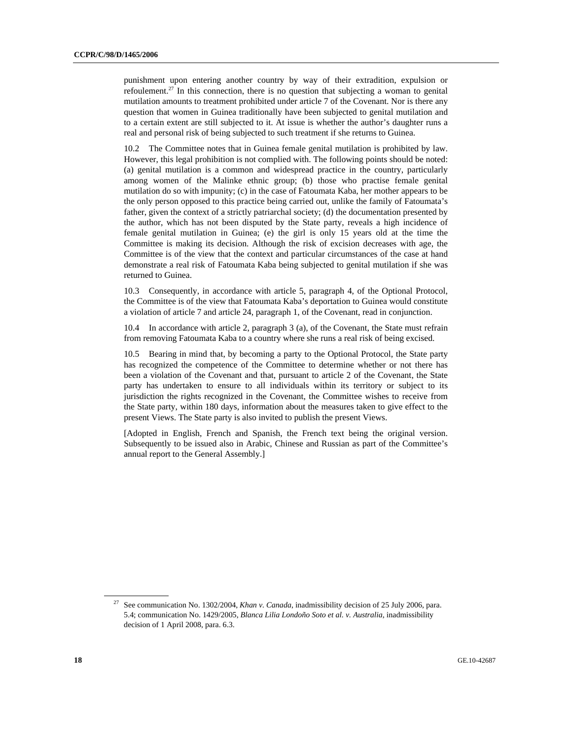punishment upon entering another country by way of their extradition, expulsion or refoulement.<sup>27</sup> In this connection, there is no question that subjecting a woman to genital mutilation amounts to treatment prohibited under article 7 of the Covenant. Nor is there any question that women in Guinea traditionally have been subjected to genital mutilation and to a certain extent are still subjected to it. At issue is whether the author's daughter runs a real and personal risk of being subjected to such treatment if she returns to Guinea.

10.2 The Committee notes that in Guinea female genital mutilation is prohibited by law. However, this legal prohibition is not complied with. The following points should be noted: (a) genital mutilation is a common and widespread practice in the country, particularly among women of the Malinke ethnic group; (b) those who practise female genital mutilation do so with impunity; (c) in the case of Fatoumata Kaba, her mother appears to be the only person opposed to this practice being carried out, unlike the family of Fatoumata's father, given the context of a strictly patriarchal society; (d) the documentation presented by the author, which has not been disputed by the State party, reveals a high incidence of female genital mutilation in Guinea; (e) the girl is only 15 years old at the time the Committee is making its decision. Although the risk of excision decreases with age, the Committee is of the view that the context and particular circumstances of the case at hand demonstrate a real risk of Fatoumata Kaba being subjected to genital mutilation if she was returned to Guinea.

10.3 Consequently, in accordance with article 5, paragraph 4, of the Optional Protocol, the Committee is of the view that Fatoumata Kaba's deportation to Guinea would constitute a violation of article 7 and article 24, paragraph 1, of the Covenant, read in conjunction.

10.4 In accordance with article 2, paragraph 3 (a), of the Covenant, the State must refrain from removing Fatoumata Kaba to a country where she runs a real risk of being excised.

10.5 Bearing in mind that, by becoming a party to the Optional Protocol, the State party has recognized the competence of the Committee to determine whether or not there has been a violation of the Covenant and that, pursuant to article 2 of the Covenant, the State party has undertaken to ensure to all individuals within its territory or subject to its jurisdiction the rights recognized in the Covenant, the Committee wishes to receive from the State party, within 180 days, information about the measures taken to give effect to the present Views. The State party is also invited to publish the present Views.

[Adopted in English, French and Spanish, the French text being the original version. Subsequently to be issued also in Arabic, Chinese and Russian as part of the Committee's annual report to the General Assembly.]

<sup>27</sup> See communication No. 1302/2004, *Khan v. Canada*, inadmissibility decision of 25 July 2006, para. 5.4; communication No. 1429/2005, *Blanca Lilia Londoño Soto et al. v. Australia*, inadmissibility decision of 1 April 2008, para. 6.3.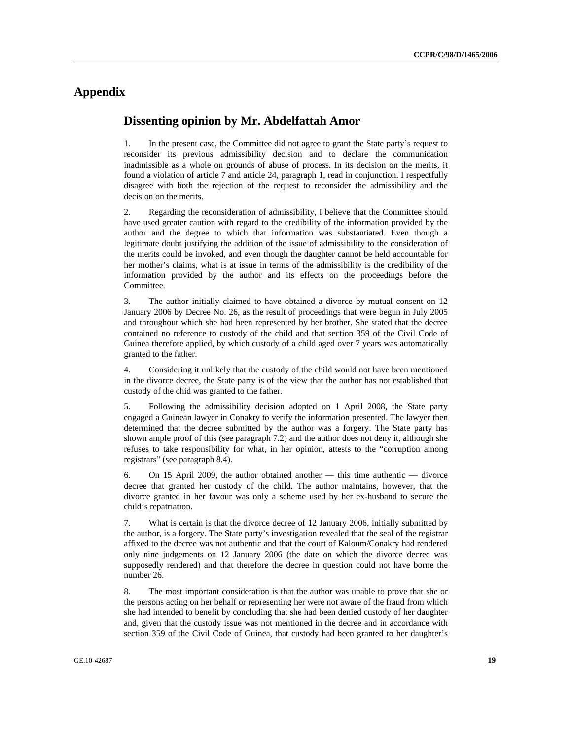# **Appendix**

### **Dissenting opinion by Mr. Abdelfattah Amor**

1. In the present case, the Committee did not agree to grant the State party's request to reconsider its previous admissibility decision and to declare the communication inadmissible as a whole on grounds of abuse of process. In its decision on the merits, it found a violation of article 7 and article 24, paragraph 1, read in conjunction. I respectfully disagree with both the rejection of the request to reconsider the admissibility and the decision on the merits.

2. Regarding the reconsideration of admissibility, I believe that the Committee should have used greater caution with regard to the credibility of the information provided by the author and the degree to which that information was substantiated. Even though a legitimate doubt justifying the addition of the issue of admissibility to the consideration of the merits could be invoked, and even though the daughter cannot be held accountable for her mother's claims, what is at issue in terms of the admissibility is the credibility of the information provided by the author and its effects on the proceedings before the Committee.

3. The author initially claimed to have obtained a divorce by mutual consent on 12 January 2006 by Decree No. 26, as the result of proceedings that were begun in July 2005 and throughout which she had been represented by her brother. She stated that the decree contained no reference to custody of the child and that section 359 of the Civil Code of Guinea therefore applied, by which custody of a child aged over 7 years was automatically granted to the father.

4. Considering it unlikely that the custody of the child would not have been mentioned in the divorce decree, the State party is of the view that the author has not established that custody of the chid was granted to the father.

5. Following the admissibility decision adopted on 1 April 2008, the State party engaged a Guinean lawyer in Conakry to verify the information presented. The lawyer then determined that the decree submitted by the author was a forgery. The State party has shown ample proof of this (see paragraph 7.2) and the author does not deny it, although she refuses to take responsibility for what, in her opinion, attests to the "corruption among registrars" (see paragraph 8.4).

6. On 15 April 2009, the author obtained another — this time authentic — divorce decree that granted her custody of the child. The author maintains, however, that the divorce granted in her favour was only a scheme used by her ex-husband to secure the child's repatriation.

7. What is certain is that the divorce decree of 12 January 2006, initially submitted by the author, is a forgery. The State party's investigation revealed that the seal of the registrar affixed to the decree was not authentic and that the court of Kaloum/Conakry had rendered only nine judgements on 12 January 2006 (the date on which the divorce decree was supposedly rendered) and that therefore the decree in question could not have borne the number 26.

8. The most important consideration is that the author was unable to prove that she or the persons acting on her behalf or representing her were not aware of the fraud from which she had intended to benefit by concluding that she had been denied custody of her daughter and, given that the custody issue was not mentioned in the decree and in accordance with section 359 of the Civil Code of Guinea, that custody had been granted to her daughter's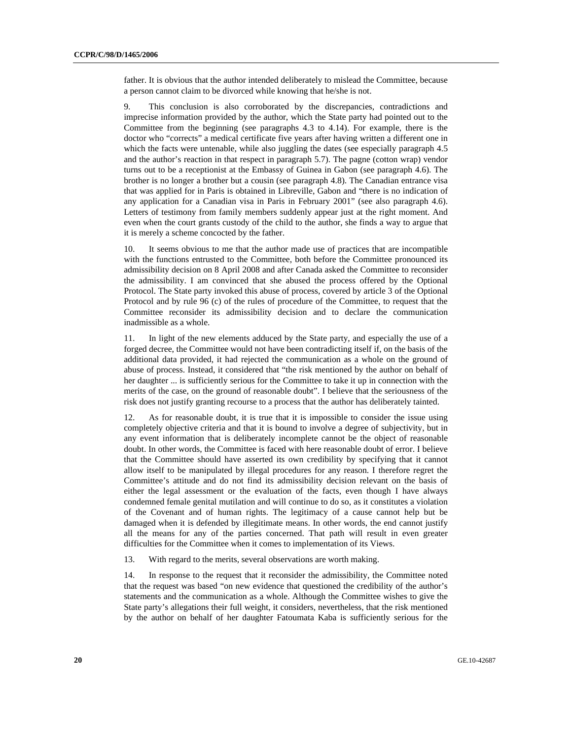father. It is obvious that the author intended deliberately to mislead the Committee, because a person cannot claim to be divorced while knowing that he/she is not.

9. This conclusion is also corroborated by the discrepancies, contradictions and imprecise information provided by the author, which the State party had pointed out to the Committee from the beginning (see paragraphs 4.3 to 4.14). For example, there is the doctor who "corrects" a medical certificate five years after having written a different one in which the facts were untenable, while also juggling the dates (see especially paragraph 4.5 and the author's reaction in that respect in paragraph 5.7). The pagne (cotton wrap) vendor turns out to be a receptionist at the Embassy of Guinea in Gabon (see paragraph 4.6). The brother is no longer a brother but a cousin (see paragraph 4.8). The Canadian entrance visa that was applied for in Paris is obtained in Libreville, Gabon and "there is no indication of any application for a Canadian visa in Paris in February 2001" (see also paragraph 4.6). Letters of testimony from family members suddenly appear just at the right moment. And even when the court grants custody of the child to the author, she finds a way to argue that it is merely a scheme concocted by the father.

10. It seems obvious to me that the author made use of practices that are incompatible with the functions entrusted to the Committee, both before the Committee pronounced its admissibility decision on 8 April 2008 and after Canada asked the Committee to reconsider the admissibility. I am convinced that she abused the process offered by the Optional Protocol. The State party invoked this abuse of process, covered by article 3 of the Optional Protocol and by rule 96 (c) of the rules of procedure of the Committee, to request that the Committee reconsider its admissibility decision and to declare the communication inadmissible as a whole.

11. In light of the new elements adduced by the State party, and especially the use of a forged decree, the Committee would not have been contradicting itself if, on the basis of the additional data provided, it had rejected the communication as a whole on the ground of abuse of process. Instead, it considered that "the risk mentioned by the author on behalf of her daughter ... is sufficiently serious for the Committee to take it up in connection with the merits of the case, on the ground of reasonable doubt". I believe that the seriousness of the risk does not justify granting recourse to a process that the author has deliberately tainted.

12. As for reasonable doubt, it is true that it is impossible to consider the issue using completely objective criteria and that it is bound to involve a degree of subjectivity, but in any event information that is deliberately incomplete cannot be the object of reasonable doubt. In other words, the Committee is faced with here reasonable doubt of error. I believe that the Committee should have asserted its own credibility by specifying that it cannot allow itself to be manipulated by illegal procedures for any reason. I therefore regret the Committee's attitude and do not find its admissibility decision relevant on the basis of either the legal assessment or the evaluation of the facts, even though I have always condemned female genital mutilation and will continue to do so, as it constitutes a violation of the Covenant and of human rights. The legitimacy of a cause cannot help but be damaged when it is defended by illegitimate means. In other words, the end cannot justify all the means for any of the parties concerned. That path will result in even greater difficulties for the Committee when it comes to implementation of its Views.

13. With regard to the merits, several observations are worth making.

14. In response to the request that it reconsider the admissibility, the Committee noted that the request was based "on new evidence that questioned the credibility of the author's statements and the communication as a whole. Although the Committee wishes to give the State party's allegations their full weight, it considers, nevertheless, that the risk mentioned by the author on behalf of her daughter Fatoumata Kaba is sufficiently serious for the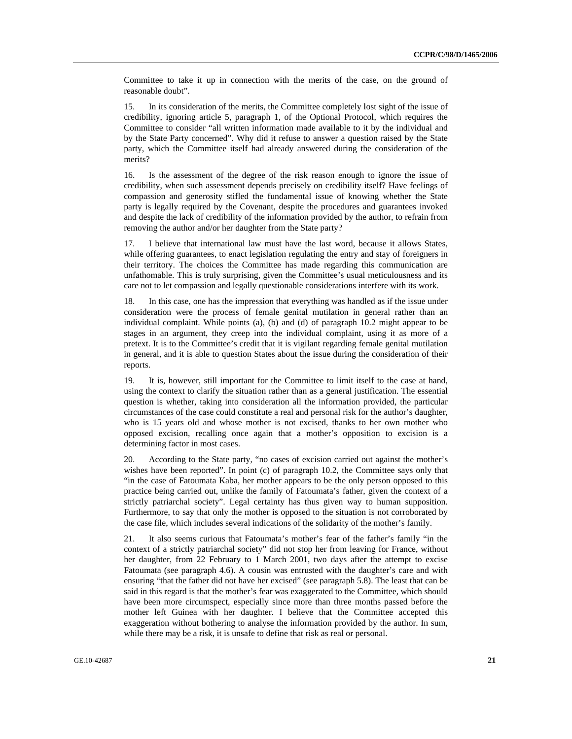Committee to take it up in connection with the merits of the case, on the ground of reasonable doubt".

15. In its consideration of the merits, the Committee completely lost sight of the issue of credibility, ignoring article 5, paragraph 1, of the Optional Protocol, which requires the Committee to consider "all written information made available to it by the individual and by the State Party concerned". Why did it refuse to answer a question raised by the State party, which the Committee itself had already answered during the consideration of the merits?

16. Is the assessment of the degree of the risk reason enough to ignore the issue of credibility, when such assessment depends precisely on credibility itself? Have feelings of compassion and generosity stifled the fundamental issue of knowing whether the State party is legally required by the Covenant, despite the procedures and guarantees invoked and despite the lack of credibility of the information provided by the author, to refrain from removing the author and/or her daughter from the State party?

17. I believe that international law must have the last word, because it allows States, while offering guarantees, to enact legislation regulating the entry and stay of foreigners in their territory. The choices the Committee has made regarding this communication are unfathomable. This is truly surprising, given the Committee's usual meticulousness and its care not to let compassion and legally questionable considerations interfere with its work.

18. In this case, one has the impression that everything was handled as if the issue under consideration were the process of female genital mutilation in general rather than an individual complaint. While points (a), (b) and (d) of paragraph 10.2 might appear to be stages in an argument, they creep into the individual complaint, using it as more of a pretext. It is to the Committee's credit that it is vigilant regarding female genital mutilation in general, and it is able to question States about the issue during the consideration of their reports.

19. It is, however, still important for the Committee to limit itself to the case at hand, using the context to clarify the situation rather than as a general justification. The essential question is whether, taking into consideration all the information provided, the particular circumstances of the case could constitute a real and personal risk for the author's daughter, who is 15 years old and whose mother is not excised, thanks to her own mother who opposed excision, recalling once again that a mother's opposition to excision is a determining factor in most cases.

20. According to the State party, "no cases of excision carried out against the mother's wishes have been reported". In point (c) of paragraph 10.2, the Committee says only that "in the case of Fatoumata Kaba, her mother appears to be the only person opposed to this practice being carried out, unlike the family of Fatoumata's father, given the context of a strictly patriarchal society". Legal certainty has thus given way to human supposition. Furthermore, to say that only the mother is opposed to the situation is not corroborated by the case file, which includes several indications of the solidarity of the mother's family.

21. It also seems curious that Fatoumata's mother's fear of the father's family "in the context of a strictly patriarchal society" did not stop her from leaving for France, without her daughter, from 22 February to 1 March 2001, two days after the attempt to excise Fatoumata (see paragraph 4.6). A cousin was entrusted with the daughter's care and with ensuring "that the father did not have her excised" (see paragraph 5.8). The least that can be said in this regard is that the mother's fear was exaggerated to the Committee, which should have been more circumspect, especially since more than three months passed before the mother left Guinea with her daughter. I believe that the Committee accepted this exaggeration without bothering to analyse the information provided by the author. In sum, while there may be a risk, it is unsafe to define that risk as real or personal.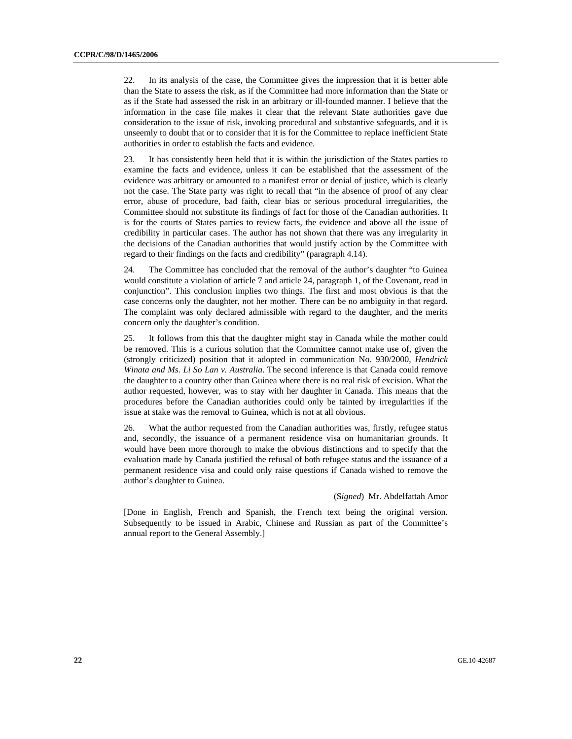22. In its analysis of the case, the Committee gives the impression that it is better able than the State to assess the risk, as if the Committee had more information than the State or as if the State had assessed the risk in an arbitrary or ill-founded manner. I believe that the information in the case file makes it clear that the relevant State authorities gave due consideration to the issue of risk, invoking procedural and substantive safeguards, and it is unseemly to doubt that or to consider that it is for the Committee to replace inefficient State authorities in order to establish the facts and evidence.

23. It has consistently been held that it is within the jurisdiction of the States parties to examine the facts and evidence, unless it can be established that the assessment of the evidence was arbitrary or amounted to a manifest error or denial of justice, which is clearly not the case. The State party was right to recall that "in the absence of proof of any clear error, abuse of procedure, bad faith, clear bias or serious procedural irregularities, the Committee should not substitute its findings of fact for those of the Canadian authorities. It is for the courts of States parties to review facts, the evidence and above all the issue of credibility in particular cases. The author has not shown that there was any irregularity in the decisions of the Canadian authorities that would justify action by the Committee with regard to their findings on the facts and credibility" (paragraph 4.14).

24. The Committee has concluded that the removal of the author's daughter "to Guinea would constitute a violation of article 7 and article 24, paragraph 1, of the Covenant, read in conjunction". This conclusion implies two things. The first and most obvious is that the case concerns only the daughter, not her mother. There can be no ambiguity in that regard. The complaint was only declared admissible with regard to the daughter, and the merits concern only the daughter's condition.

25. It follows from this that the daughter might stay in Canada while the mother could be removed. This is a curious solution that the Committee cannot make use of, given the (strongly criticized) position that it adopted in communication No. 930/2000, *Hendrick Winata and Ms. Li So Lan v. Australia*. The second inference is that Canada could remove the daughter to a country other than Guinea where there is no real risk of excision. What the author requested, however, was to stay with her daughter in Canada. This means that the procedures before the Canadian authorities could only be tainted by irregularities if the issue at stake was the removal to Guinea, which is not at all obvious.

26. What the author requested from the Canadian authorities was, firstly, refugee status and, secondly, the issuance of a permanent residence visa on humanitarian grounds. It would have been more thorough to make the obvious distinctions and to specify that the evaluation made by Canada justified the refusal of both refugee status and the issuance of a permanent residence visa and could only raise questions if Canada wished to remove the author's daughter to Guinea.

#### (S*igned*) Mr. Abdelfattah Amor

[Done in English, French and Spanish, the French text being the original version. Subsequently to be issued in Arabic, Chinese and Russian as part of the Committee's annual report to the General Assembly.]